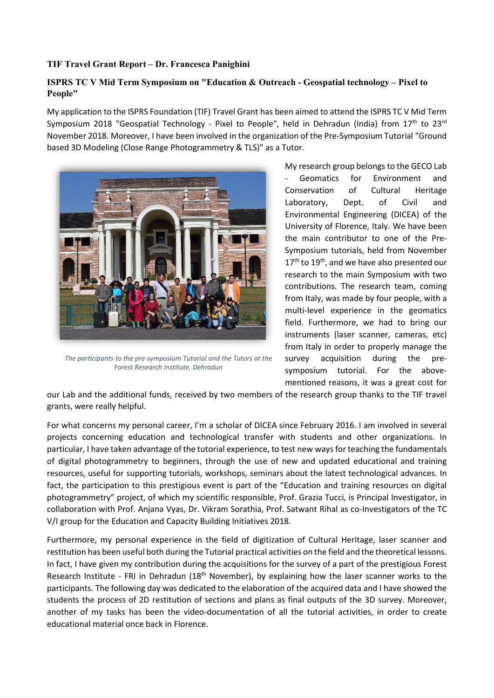## **TIF Travel Grant Report – Dr. Francesca Panighini**

## **ISPRS TC V Mid Term Symposium on "Education & Outreach - Geospatial technology – Pixel to People"**

My application to the ISPRS Foundation (TIF) Travel Grant has been aimed to attend the ISPRS TC V Mid Term Symposium 2018 "Geospatial Technology - Pixel to People", held in Dehradun (India) from  $17<sup>th</sup>$  to  $23<sup>rd</sup>$ November 2018. Moreover, I have been involved in the organization of the Pre-Symposium Tutorial "Ground based 3D Modeling (Close Range Photogrammetry & TLS)" as a Tutor.



*The participants to the pre-symposium Tutorial and the Tutors at the Forest Research Institute, Dehradun*

My research group belongs to the GECO Lab Geomatics for Environment and Conservation of Cultural Heritage Laboratory, Dept. of Civil and Environmental Engineering (DICEA) of the University of Florence, Italy. We have been the main contributor to one of the Pre-Symposium tutorials, held from November 17<sup>th</sup> to 19<sup>th</sup>, and we have also presented our research to the main Symposium with two contributions. The research team, coming from Italy, was made by four people, with a multi-level experience in the geomatics field. Furthermore, we had to bring our instruments (laser scanner, cameras, etc) from Italy in order to properly manage the survey acquisition during the presymposium tutorial. For the abovementioned reasons, it was a great cost for

our Lab and the additional funds, received by two members of the research group thanks to the TIF travel grants, were really helpful.

For what concerns my personal career, I'm a scholar of DICEA since February 2016. I am involved in several projects concerning education and technological transfer with students and other organizations. In particular, I have taken advantage of the tutorial experience, to test new ways for teaching the fundamentals of digital photogrammetry to beginners, through the use of new and updated educational and training resources, useful for supporting tutorials, workshops, seminars about the latest technological advances. In fact, the participation to this prestigious event is part of the "Education and training resources on digital photogrammetry" project, of which my scientific responsible, Prof. Grazia Tucci, is Principal Investigator, in collaboration with Prof. Anjana Vyas, Dr. Vikram Sorathia, Prof. Satwant Rihal as co-Investigators of the TC V/I group for the Education and Capacity Building Initiatives 2018.

Furthermore, my personal experience in the field of digitization of Cultural Heritage, laser scanner and restitution has been useful both during the Tutorial practical activities on the field and the theoretical lessons. In fact, I have given my contribution during the acquisitions for the survey of a part of the prestigious Forest Research Institute - FRI in Dehradun (18th November), by explaining how the laser scanner works to the participants. The following day was dedicated to the elaboration of the acquired data and I have showed the students the process of 2D restitution of sections and plans as final outputs of the 3D survey. Moreover, another of my tasks has been the video-documentation of all the tutorial activities, in order to create educational material once back in Florence.